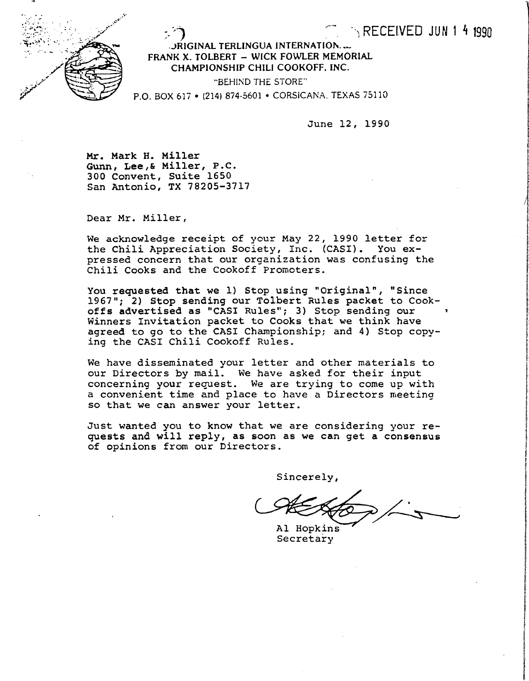

 $\Box$ RIGINAL TERLINGUA INTERNATION. ... FRANK X. TOLBERT - WICK FOWLER MEMORIAL CHAMPIONSHIP CHILI COOKOFF. INC.

"BEHIND THE STORE"

P.O. BOX 617 • (214) 874-5601 • CORSICANA, TEXAS 75110

June 12, 1990

 $\cdot$  RECEIVED JUN14 1990

Mr. Mark H. Miller Gunn, Lee,& Miller, P.C. 300 Convent, Suite 1650 San Antonio, TX 78205-3717

Dear Mr. Miller,

We acknowledge receipt of your May 22, 1990 letter for the Chili Appreciation Society, Inc. (CASI). You expressed concern that our organization was confusing the Chili Cooks and the Cookoff Promoters.

You requested that we 1) Stop using "Original", "Since 1967"; 2) Stop sending our Tolbert Rules packet to Cookoffs advertised as "CASI Rules"; 3) Stop sending our Winners Invitation packet to Cooks that we think have agreed to go to the CASI Championship; and 4) Stop copying the CASI Chili Cookoff Rules.

We have disseminated your letter and other materials to our Directors by mail. We have asked for their input concerning your request. We are trying to come up with a convenient time and place to have a Directors meeting so that we can answer your letter.

Just wanted you to know that we are considering your requests and will reply, as soon as we can get a consensus of opinions from our Directors.

Sincerely,

Ï

I

ta ang mga kalawang ng mga kalawang ng mga kalawang ng mga kalawang ng mga kalawang ng mga kalawang ng mga kal<br>Mga kalawang ng mga kalawang ng mga kalawang ng mga kalawang ng mga kalawang ng mga kalawang ng mga kalawang n

r<br>Bartha

International Control of the I

**International Accountability** 

fan Defenser<br>F

Al Hopkins Secretary i,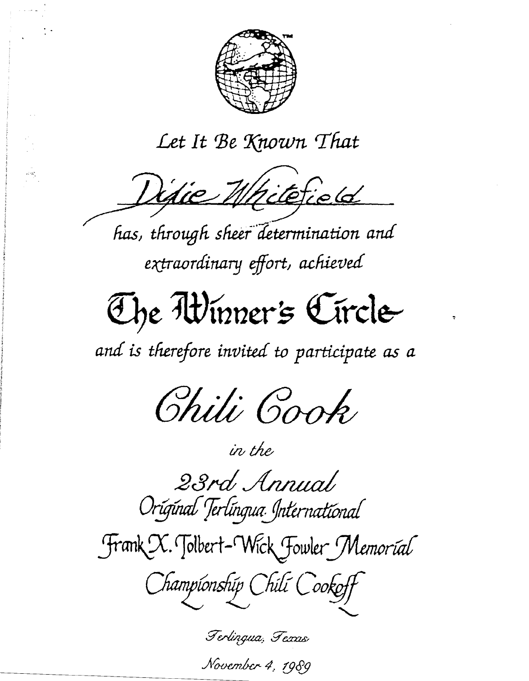

# Let It Be Known That

Difie Whitefield

جوديد<br>م

has, through sheer determination and extraordinary effort, achieved

# The Winner's Circle

and is therefore invited to participate as a



23rd Annual Original Terlingua International

in the

Frank X. Tolbert-Wick Fowler Memorial

Championship Chili Cookoff

Terlingua, Fexas November 4, 1989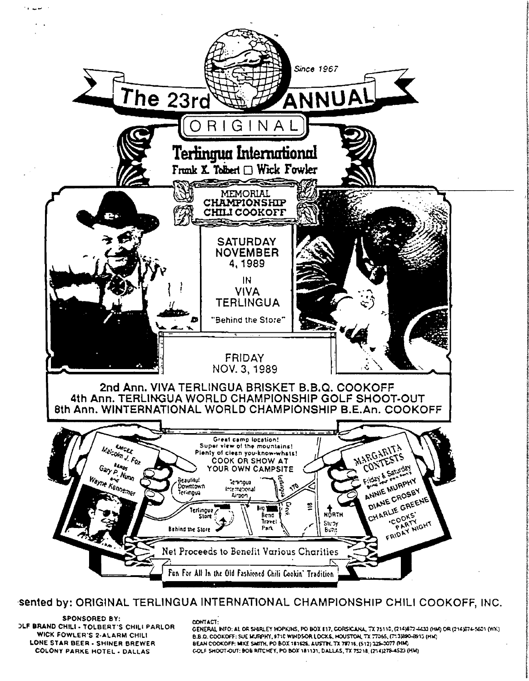

#### sented by: ORIGINAL TERLINGUA INTERNATIONAL CHAMPIONSHIP CHILI COOKOFF, INC.

**SPONSORED BY: DLF BRAND CHILI - TOLBERT'S CHILI PARLOR** WICK FOWLER'S 2-ALARM CHILI LONE STAR BEER - SHINER BREWER **COLONY PARKE HOTEL - DALLAS** 

CONTACT:

GENERAL INFO: AL OR SHIRLEY HOPKINS, PO BOX E17, CORSICANA, TX 75110, (214)872-4433 (HM) OR (214)674-5601 (WK) B.B.O. COOKOFF: SUE MURPHY, 9710 WINDSOR LOCKS, HOUSTON, TX 77365, (713)890-8915 (HM) BEAN COOKOFF: MIKE SMITH, PO BOX 181526, AUSTIN, TX 78716, (512) 325-0077 (HM) GOLF SHOOT-OUT: BOB RITCHEY, PO BOX 181131, DALLAS, TX 75218, (214)278-4523 (HM)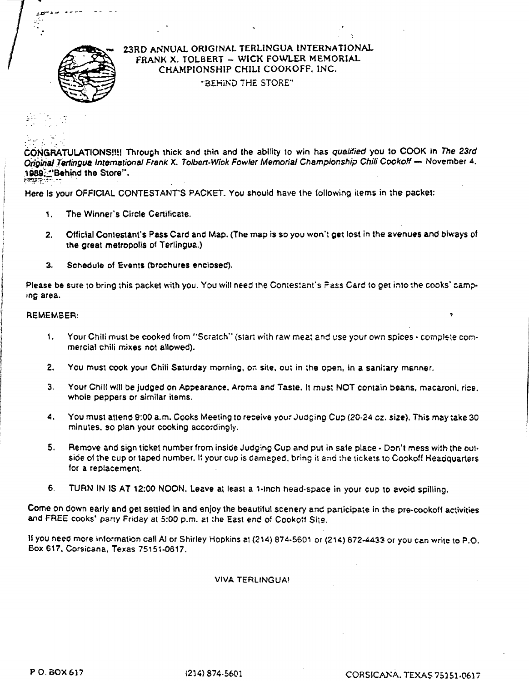

#### Z3RD ANNUAL ORIGINAL TERLINGUA INTERNATIONAL FRANK X. TOLBERT - WICK FOWLER MEMORIAL CHAMPIONSHIP CHILI COOKOFF. INC. "BEHIND THE STORE"

..

احذ еñ

CONGRATULATIONS!!!! Through thick and thin and the ability to win has qualified you to COOK in The 23rd *Original Terlingua International Frank X. Tolbert-Wick Fowler Memorial Championship Chili Cookoff - November 4.* 1989;; "Behind the Store",

Here is your OFFICIAL CONTESTANT'S PACKET. You should have the following items in the packet:

- 1. The Winner's Circle Certificate.
- 2. Official Contestant's Pass Card and Map. (The map is so you won't get lost in the avenues and biways of the great metropolis of Terlingua.)
- 3. Schedule of Events (brochures enclosed).

Please be sure to bring this packet with you. You will need the Contestant's Pass Card to get into the cooks' camping area.

#### REMEMBER:

- 1. Your Chili must be cooked from "Scratch" (start with raw meat and use your own spices complete commercial chili mixes not allowed).
- 2. You must cook your Chili Saturday morning, on site, out in the open, in a sanitary manner.
- 3. Your Chili wlll be judged on Appearanee, Aroma and Taste, It must NOT contain beans. macaroni, rice. Whole peppers or similar items.
- 4. You must attend 9:00 a.m. Cooks Meeting to receive your Judging Cup (20-24 cz. size). This may take 30 minutes, so plan your cooking accordingly.
- 5. Remove and sign ticket number from inside Judging Cup and put in safe place Don't mess with the outside of the cup or taped number. If your cup is damaged, bring it and the tickets to Cookoff Headquarters for a replacement.
- 6. TURN IN IS AT 12:00 NOON. Leave at least a 1-inch head-space in your cup to avoid spilling.

Come on down early and get settled in and enjoy the beautiful scenery and partieipate in the pre·cookoff activities and FREE cooks' party Friday at 5:00 p,m, at the East end of Cookoff Site.

If you need more information call AI or Shirley Hopkins at (214) 874-5601 or (214) 872-4433 or you can write to P.O. Box 617, Corsicana, Texas 75151-0617.

VIVA TERLINGUAI

PO. BOX 617 *i* (214) S74-5601 **CORSICANA, TEXAS 75151-0617** 

 $\bullet$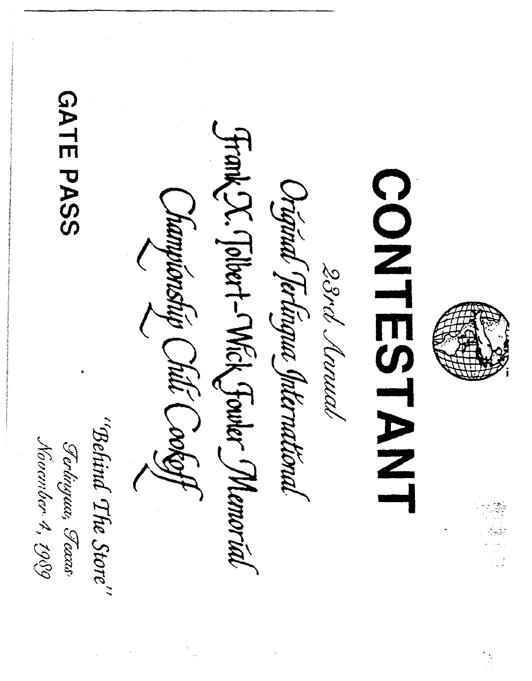**GATE PASS** Frank X. (Tolbert-Mick Fowler Memorial CONTESTANT Original Jerlingue International Championship Chili Cookoff 28rd Annal "Behind The Store" Ferlingua, Fexas Novamber 4, 1989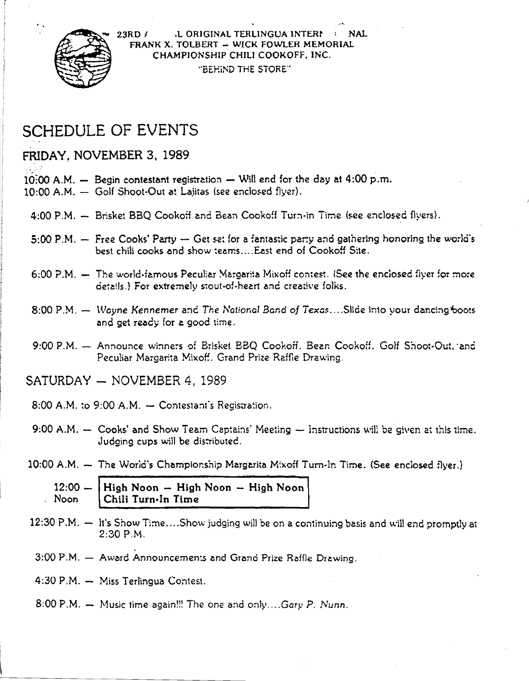

L ORIGINAL TERLINGUA INTERN  $23RD/$ FRANK X. TOLBERT - WICK FOWLER MEMORIAL CHAMPIONSHIP CHILI COOKOFF, INC. "BEHIND THE STORE"

## **SCHEDULE OF EVENTS**

#### FRIDAY, NOVEMBER 3, 1989

- 10:00 A.M.  $-$  Begin contestant registration  $-$  Will end for the day at 4:00 p.m.
- 10:00 A.M. Golf Shoot-Out at Laiitas (see enclosed flyer).
	- 4:00 P.M. Brisket BBQ Cookoff and Bean Cookoff Turn-in Time (see enclosed flyers).
	- 5:00 P.M.  $-$  Free Cooks' Party  $-$  Get set for a fantastic party and gathering honoring the world's best chili cooks and show teams... East end of Cookoff Site.
	- 6:00 P.M. The world-famous Peculiar Margarita Mixoff contest. (See the enclosed fiver for more details.) For extremely stout-of-heart and creative folks.
	- 8:00 P.M. Wayne Kennemer and The National Band of Texas....Slide into your dancing boots and get ready for a good time.
	- 9:00 P.M. Announce winners of Brisket BBQ Cookoff, Bean Cookoff, Golf Shoot-Out, and Peculiar Margarita Mixoff. Grand Prize Raffle Drawing.
- SATURDAY NOVEMBER 4. 1989
	- $8:00$  A.M. to  $9:00$  A.M.  $-$  Contestant's Registration.
	- 9:00 A.M.  $-$  Cooks' and Show Team Captains' Meeting  $-$  instructions will be given at this time. Judging cups will be distributed.
- $10:00$  A.M.  $-$  The World's Championship Margarita Mixoff Turn-In Time. (See enclosed flyer.)

| $12:00 -  $ High Noon $-$ High Noon $-$ High Noon <sup>1</sup> |
|----------------------------------------------------------------|
| Noon Chili Turn-In Time                                        |

- $12:30$  P.M.  $-$  It's Show Time....Show judging will be on a continuing basis and will end promptly at  $2:30 P.M.$
- 3:00 P.M. Award Announcements and Grand Prize Raffle Drawing.
- 4:30 P.M. Miss Terlingua Contest.
- $8:00$  P.M.  $-$  Music time again!!! The one and only....Gary P. Nunn.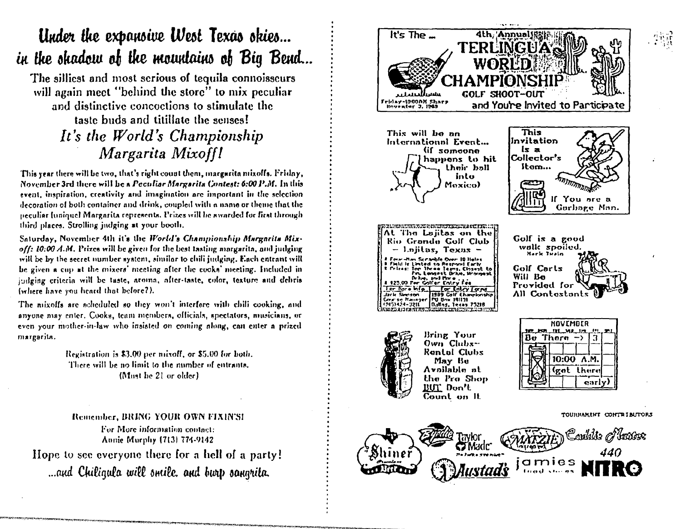## Under the expansive West Texas skies... in the shadow of the mountains of Big Bend...

The silliest and most serious of tequila connoisseurs will again meet "behind the store" to mix peculiar and distinctive concoctions to stimulate the taste buds and titillate the senses! It's the World's Championship Margarita Mixoff!

This year there will be two, that's right count them, margarita mixoffs. Friday, November 3rd there will be a Peculiar Margarita Contest: 6:00 P.M. In this event, inspiration, creativity and imagination are important in the selection decoration of both container and drink, coupled with a name or theme that the neculiar funiquel Margarita represents. Prizes will be awarded for first through third places. Strolling judging at your booth.

Saturday, November 4th it's the World's Championship Margarita Mixoff: 10:00 A.M. Prizes will be given for the best tasting margarita, and judging will be by the secret number system, similar to chili judging. Each entrant will be given a cup at the mixers' meeting after the cooks' meeting. Included in indging criteria will be taste, aroma, after-taste, color, texture and debris infliere have you heard that before?).

The mixoffs are scheduled so they won't interfore with chili cooking, and anyone may enter. Cooks, team members, officials, spectators, musicians, or even your mother-in-law who insisted on coming along, can enter a prized margarita.

> Registration is \$3.00 per mixoff, or \$5.00 for both. There will be no limit to the number of entrants. (Must be 21 or older)

Remember, BRING YOUR OWN FIXIN'S! For More information contact: Annie Murphy (713) 774-9142 Hope to see everyone there for a hell of a party! ...and Chiliqula will smile, and burt sangrita.

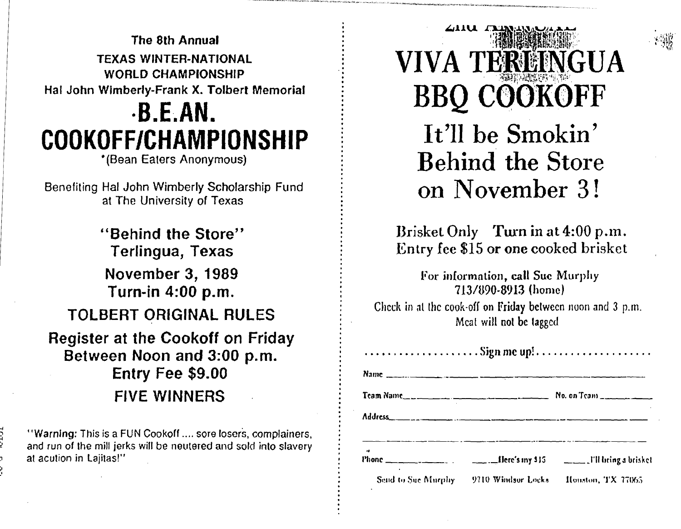The 8th Annual **TEXAS WINTER-NATIONAL WORLD CHAMPIONSHIP** Hal John Wimberly-Frank X. Tolbert Memorial  $-B.E.AN.$ COOKOFF/CHAMPIONSHIP

\*(Bean Eaters Anonymous)

Benefiting Hal John Wimberly Scholarship Fund at The University of Texas

"Behind the Store" Terlingua, Texas **November 3, 1989** Turn-in 4:00 p.m. **TOLBERT ORIGINAL RULES Register at the Cookoff on Friday** Between Noon and 3:00 p.m. Entry Fee \$9.00 **FIVE WINNERS** 

"Warning: This is a FUN Cookoff .... sore losers, complainers, and run of the mill jerks will be neutered and sold into slavery at acution in Lajitas!"

*L*iiu VIVA TEREINGUA **BBQ COOKOFF** It'll be Smokin' **Behind the Store** on November 3!

Brisket Only Turn in at 4:00 p.m. Entry fee \$15 or one cooked brisket

For information, call Sue Murphy 713/890-8913 (home)

Check in at the cook-off on Friday between noon and 3 p.m. Meat will not be tagged

| $\ldots \ldots \ldots \ldots \ldots \ldots$ . Sign me up! |                                       |                   |  |
|-----------------------------------------------------------|---------------------------------------|-------------------|--|
|                                                           |                                       |                   |  |
|                                                           |                                       |                   |  |
|                                                           |                                       |                   |  |
|                                                           |                                       |                   |  |
|                                                           | Send to Sue Murphy 9710 Windsor Locks | Houston, TX 77065 |  |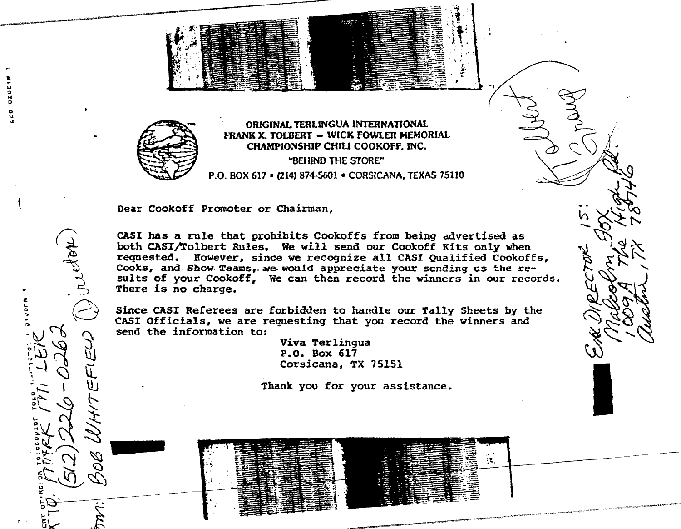

... o ... o

o ... ...

 $\binom{1}{k}$ 

 $\sqrt{\frac{1}{2}}$ 

 $\bigodot$ 

 $\mathbb{Z}$  if  $\mathbb{Z}$ 

 $^{\circ}$  1)  $\sim$  11  $\frac{1}{2}$   $\frac{1}{2}$   $\frac{1}{2}$   $\frac{1}{2}$  $\frac{1}{1}$ <br>-  $\frac{1}{2}$ 

 $\frac{1}{2} \times \frac{1}{2}$ 

 $\frac{1}{2}$   $\frac{1}{2}$   $\frac{1}{2}$   $\frac{1}{2}$ ur<br>IX<br>I

2يسري كل  $\mathbf{e}$   $\mathbf{e}$  $\ddot{x}$  .  $-25$ ,- 5~ *.t* 

 $\sum_{i=1}^{n-1} \sum_{j=1}^{n} \sum_{j=1}^{n}$ 

 $\mathfrak{u}$  .

nelyon

~~~~~''''''''''~~';l:!o\_---~'''~~.\_------------------------

 $\mathbf{L}^{\mathcal{F}}$  $\mathcal{F}_{\mathcal{G}}$  ,  $\mathcal{F}_{\mathcal{G}}$ 

> $~\cdot~$  $\sim$

> > ORIGINAL TERLINGUA INTERNATIONAL fRANK X. TOLBERT - WICK FOWlER MEMORIAL CHAMPIONSHIP CHIU COOKOFF. INC. "BEHIND THE STORE" P,O. BOX 617 • (214) 874·5601 • CORSICANA, TEXAS 75110

 $\ddotsc$ . , ·l:' ..

 $\frac{1}{2}$ 

 $\mathcal{R}_\mathcal{A}$ 

Dear Cookoff Promoter or Chairman,

CASI has a rule that prohibits Cookoffs from being advertised as both CASI/Tolbert Rules. We will send our Cookoff Kits only when requested. However, since we recognize all CASI Qualified Cookoffs, Cooks, and Show Teams, we would appreciate your sending us the results of your Cookoff, We can then record the winners in our records. There is no charge.

Since CASI Referees are forbidden to handle our Tally Sheets by the CASI Officials, we are requesting that you record the winners and send the information to:

> Viva Terlingua P.O. Box 617 Corsicana, TX 75151

Thank you for your assistance.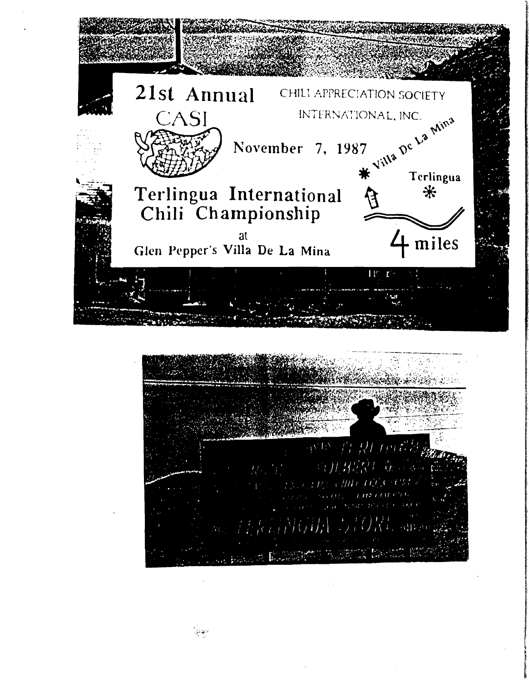

المهادي<br>المهاجي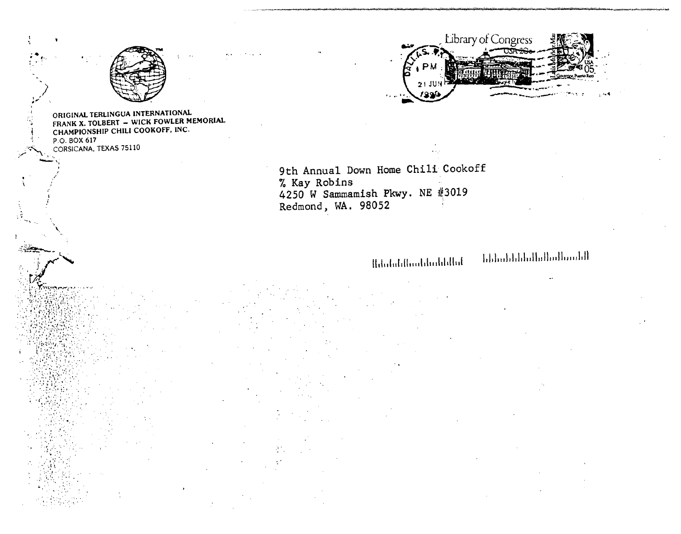

ORIGINAL TERLINGUA INTERNATIONAL FRANK X. TOLBERT - WICK FOWLER MEMORIAL CHAMPIONSHIP CHILI COOKOFF, INC. P.O. BOX 617 CORSICANA, TEXAS 75110



9th Annual Down Home Chili Cookoff % Kay Robins 4250 W Sammamish Pkwy. NE #3019 Redmond, WA. 98052

### $\label{thm:nonlocal} {\rm Indoidal} {\rm Ind}_{\rm D} {\rm Ind}_{\rm D} {\rm Ind}_{\rm D} {\rm Ind}_{\rm D}$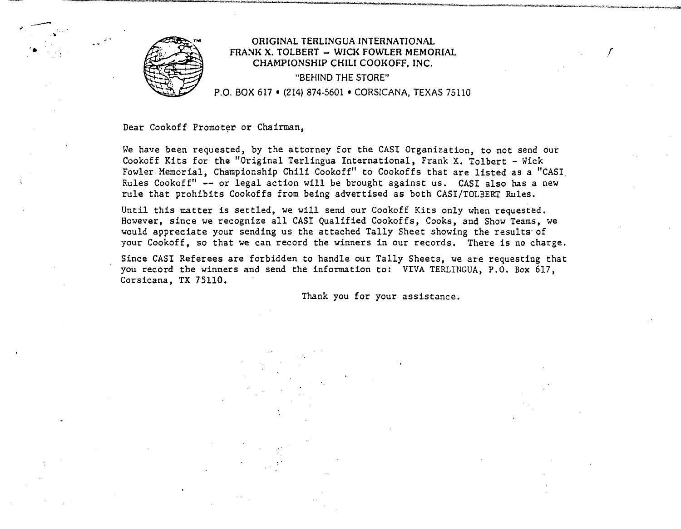

 $\overline{\phantom{a}}$ 

#### ORIGINAL TERLINGUA INTERNATIONAL  $F$ RANK X. TOLBERT  $-$  WICK FOWLER MEMORIAL CHAMPIONSHIP CHILI COOKOFF. INC. "BEHIND THE STORE" P.O. BOX 617 • (214) 874·5601 • CORSICANA, TEXAS 75110

Dear Cookoff Promoter or Chairman,

We have been requested, by the attorney for the CASI Organization, to not send our Cookoff Kits for the "Original Terlingua International, Frank X. Tolbert - Wick Fowler Memorial, Championship Chili Cookoff" to Cookoffs that are listed as a "CASI Rules Cookoff" -- or legal action will be brought against us. CASI also has a new rule that prohibits Cookoffs from being advertised as both CASI/TOLBERT Rules.

Until this matter is settled, we will send our Cookoff Kits only when requested. However, since we recognize all CASr Qualified Cookoffs, Cooks, and Show Teams, we would appreciate your sending us the attached Tally Sheet showing the results' of your Cookoff, so that we can record the winners in our records. There is no charge.

Since CASI Referees are forbidden to handle our Tally Sheets, we are requesting that you record the winners and send the information to: VIVA TERLINGUA, P.O. Box 617, Corsicana, TX 75110.

Thank you for your assistance.